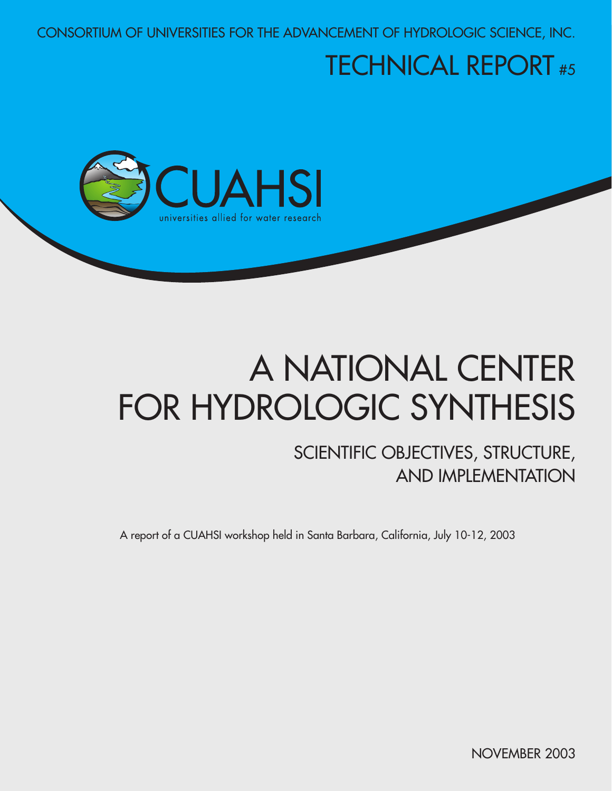CONSORTIUM OF UNIVERSITIES FOR THE ADVANCEMENT OF HYDROLOGIC SCIENCE, INC.

### TECHNICAL REPORT #5



# A NATIONAL CENTER FOR HYDROLOGIC SYNTHESIS

SCIENTIFIC OBJECTIVES, STRUCTURE, AND IMPLEMENTATION

A report of a CUAHSI workshop held in Santa Barbara, California, July 10-12, 2003

NOVEMBER 2003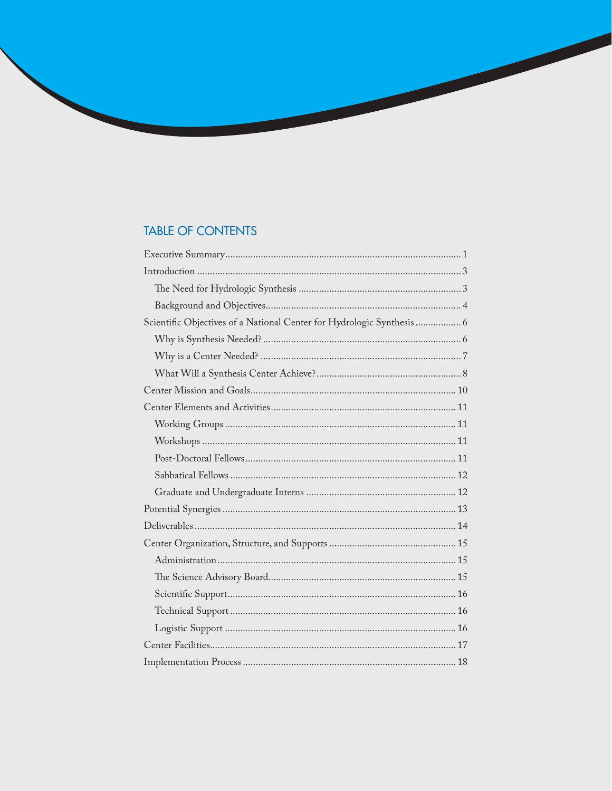#### **TABLE OF CONTENTS**

| Scientific Objectives of a National Center for Hydrologic Synthesis  6 |  |
|------------------------------------------------------------------------|--|
|                                                                        |  |
|                                                                        |  |
|                                                                        |  |
|                                                                        |  |
|                                                                        |  |
|                                                                        |  |
|                                                                        |  |
|                                                                        |  |
|                                                                        |  |
|                                                                        |  |
|                                                                        |  |
|                                                                        |  |
|                                                                        |  |
|                                                                        |  |
|                                                                        |  |
|                                                                        |  |
|                                                                        |  |
|                                                                        |  |
|                                                                        |  |
|                                                                        |  |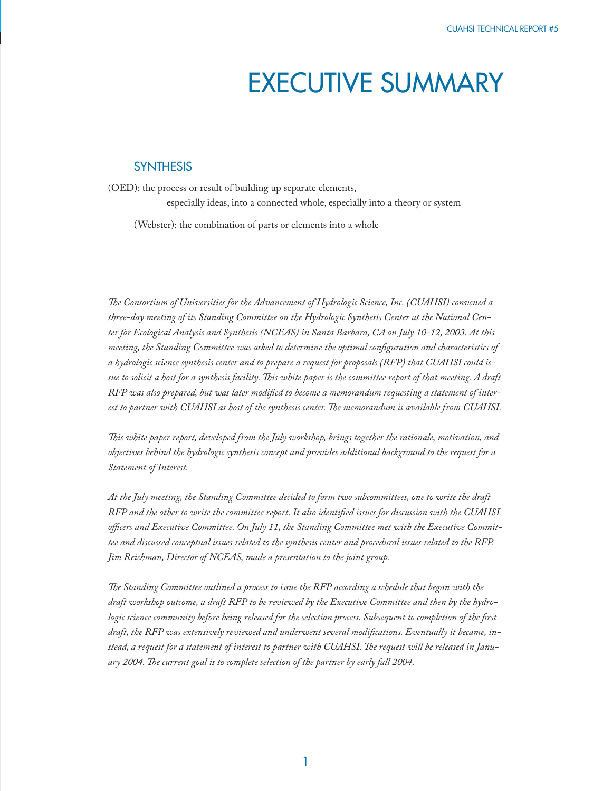### EXECUTIVE SUMMARY

#### **SYNTHESIS**

(OED): the process or result of building up separate elements, especially ideas, into a connected whole, especially into a theory or system

(Webster): the combination of parts or elements into a whole

The Consortium of Universities for the Advancement of Hydrologic Science, Inc. (CUAHSI) convened a *three-day meeting of its Standing Committee on the Hydrologic Synthesis Center at the National Center for Ecological Analysis and Synthesis (NCEAS) in Santa Barbara, CA on July 10-12, 2003. At this meeting, the Standing Committee was asked to determine the optimal confi guration and characteristics of a hydrologic science synthesis center and to prepare a request for proposals (RFP) that CUAHSI could is*sue to solicit a host for a synthesis facility. This white paper is the committee report of that meeting. A draft RFP was also prepared, but was later modified to become a memorandum requesting a statement of interest to partner with CUAHSI as host of the synthesis center. The memorandum is available from CUAHSI.

*This white paper report, developed from the July workshop, brings together the rationale, motivation, and objectives behind the hydrologic synthesis concept and provides additional background to the request for a Statement of Interest.*

*At the July meeting, the Standing Committee decided to form two subcommittees, one to write the draft RFP and the other to write the committee report. It also identifi ed issues for discussion with the CUAHSI*  officers and Executive Committee. On July 11, the Standing Committee met with the Executive Commit*tee and discussed conceptual issues related to the synthesis center and procedural issues related to the RFP. Jim Reichman, Director of NCEAS, made a presentation to the joint group.*

The Standing Committee outlined a process to issue the RFP according a schedule that began with the *draft workshop outcome, a draft RFP to be reviewed by the Executive Committee and then by the hydrologic science community before being released for the selection process. Subsequent to completion of the first* draft, the RFP was extensively reviewed and underwent several modifications. Eventually it became, instead, a request for a statement of interest to partner with CUAHSI. The request will be released in Janu– ary 2004. The current goal is to complete selection of the partner by early fall 2004.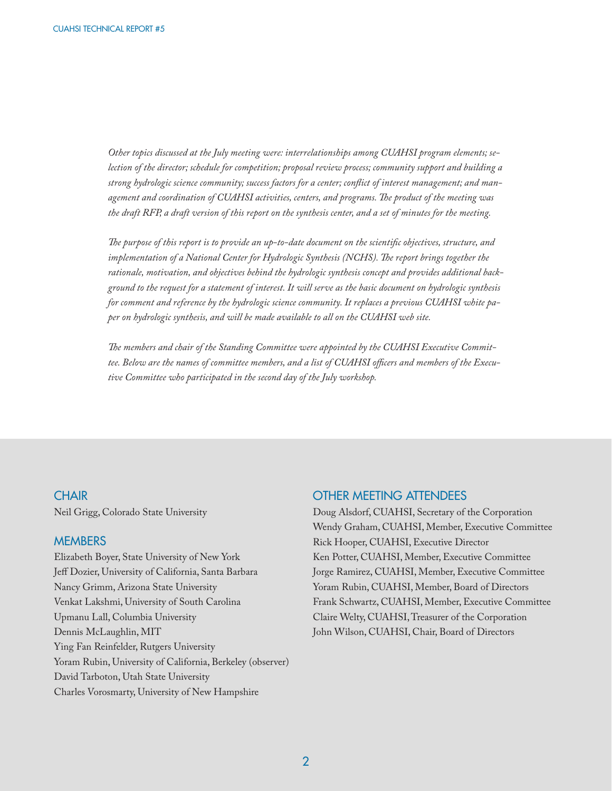*Other topics discussed at the July meeting were: interrelationships among CUAHSI program elements; selection of the director; schedule for competition; proposal review process; community support and building a*  strong hydrologic science community; success factors for a center; conflict of interest management; and management and coordination of CUAHSI activities, centers, and programs. The product of the meeting was *the draft RFP, a draft version of this report on the synthesis center, and a set of minutes for the meeting.* 

The purpose of this report is to provide an up-to-date document on the scientific objectives, structure, and *implementation of a National Center for Hydrologic Synthesis (NCHS). The report brings together the rationale, motivation, and objectives behind the hydrologic synthesis concept and provides additional background to the request for a statement of interest. It will serve as the basic document on hydrologic synthesis for comment and reference by the hydrologic science community. It replaces a previous CUAHSI white paper on hydrologic synthesis, and will be made available to all on the CUAHSI web site.*

The members and chair of the Standing Committee were appointed by the CUAHSI Executive Committee. Below are the names of committee members, and a list of CUAHSI officers and members of the Execu*tive Committee who participated in the second day of the July workshop.*

#### **CHAIR**

Neil Grigg, Colorado State University

#### **MEMBERS**

Elizabeth Boyer, State University of New York Jeff Dozier, University of California, Santa Barbara Nancy Grimm, Arizona State University Venkat Lakshmi, University of South Carolina Upmanu Lall, Columbia University Dennis McLaughlin, MIT Ying Fan Reinfelder, Rutgers University Yoram Rubin, University of California, Berkeley (observer) David Tarboton, Utah State University Charles Vorosmarty, University of New Hampshire

#### OTHER MEETING ATTENDEES

Doug Alsdorf, CUAHSI, Secretary of the Corporation Wendy Graham, CUAHSI, Member, Executive Committee Rick Hooper, CUAHSI, Executive Director Ken Potter, CUAHSI, Member, Executive Committee Jorge Ramirez, CUAHSI, Member, Executive Committee Yoram Rubin, CUAHSI, Member, Board of Directors Frank Schwartz, CUAHSI, Member, Executive Committee Claire Welty, CUAHSI, Treasurer of the Corporation John Wilson, CUAHSI, Chair, Board of Directors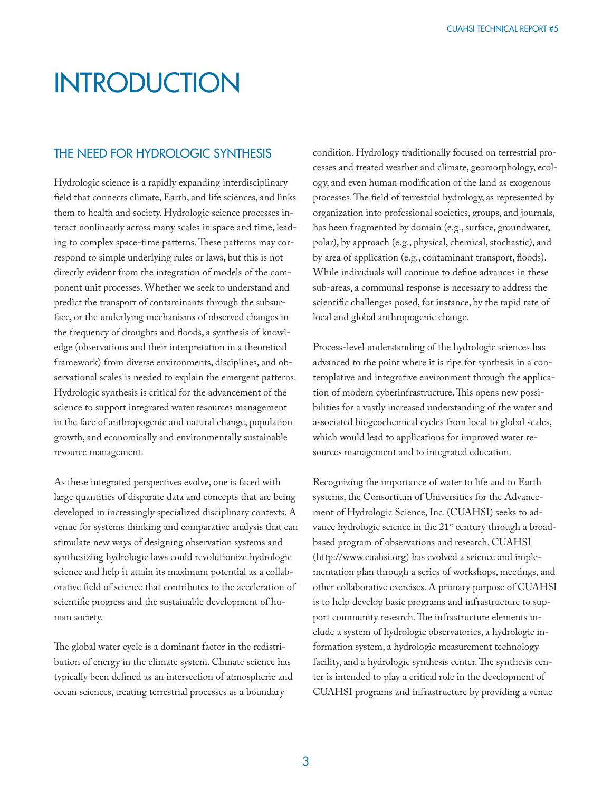### **INTRODUCTION**

#### THE NEED FOR HYDROLOGIC SYNTHESIS

Hydrologic science is a rapidly expanding interdisciplinary field that connects climate, Earth, and life sciences, and links them to health and society. Hydrologic science processes interact nonlinearly across many scales in space and time, leading to complex space-time patterns. These patterns may correspond to simple underlying rules or laws, but this is not directly evident from the integration of models of the component unit processes. Whether we seek to understand and predict the transport of contaminants through the subsurface, or the underlying mechanisms of observed changes in the frequency of droughts and floods, a synthesis of knowledge (observations and their interpretation in a theoretical framework) from diverse environments, disciplines, and observational scales is needed to explain the emergent patterns. Hydrologic synthesis is critical for the advancement of the science to support integrated water resources management in the face of anthropogenic and natural change, population growth, and economically and environmentally sustainable resource management.

As these integrated perspectives evolve, one is faced with large quantities of disparate data and concepts that are being developed in increasingly specialized disciplinary contexts. A venue for systems thinking and comparative analysis that can stimulate new ways of designing observation systems and synthesizing hydrologic laws could revolutionize hydrologic science and help it attain its maximum potential as a collaborative field of science that contributes to the acceleration of scientific progress and the sustainable development of human society.

The global water cycle is a dominant factor in the redistribution of energy in the climate system. Climate science has typically been defined as an intersection of atmospheric and ocean sciences, treating terrestrial processes as a boundary

condition. Hydrology traditionally focused on terrestrial processes and treated weather and climate, geomorphology, ecology, and even human modification of the land as exogenous processes. The field of terrestrial hydrology, as represented by organization into professional societies, groups, and journals, has been fragmented by domain (e.g., surface, groundwater, polar), by approach (e.g., physical, chemical, stochastic), and by area of application (e.g., contaminant transport, floods). While individuals will continue to define advances in these sub-areas, a communal response is necessary to address the scientific challenges posed, for instance, by the rapid rate of local and global anthropogenic change.

Process-level understanding of the hydrologic sciences has advanced to the point where it is ripe for synthesis in a contemplative and integrative environment through the application of modern cyberinfrastructure. This opens new possibilities for a vastly increased understanding of the water and associated biogeochemical cycles from local to global scales, which would lead to applications for improved water resources management and to integrated education.

Recognizing the importance of water to life and to Earth systems, the Consortium of Universities for the Advancement of Hydrologic Science, Inc. (CUAHSI) seeks to advance hydrologic science in the 21<sup>st</sup> century through a broadbased program of observations and research. CUAHSI (http://www.cuahsi.org) has evolved a science and implementation plan through a series of workshops, meetings, and other collaborative exercises. A primary purpose of CUAHSI is to help develop basic programs and infrastructure to support community research. The infrastructure elements include a system of hydrologic observatories, a hydrologic information system, a hydrologic measurement technology facility, and a hydrologic synthesis center. The synthesis center is intended to play a critical role in the development of CUAHSI programs and infrastructure by providing a venue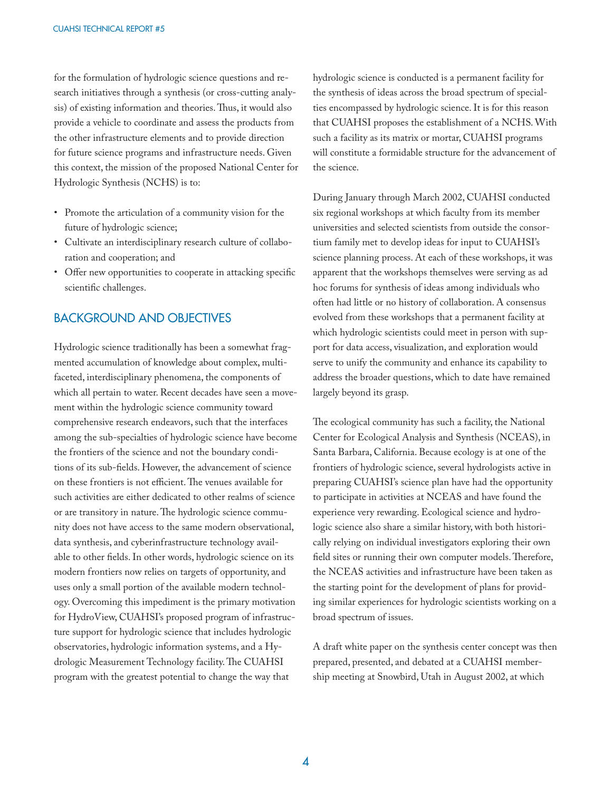for the formulation of hydrologic science questions and research initiatives through a synthesis (or cross-cutting analysis) of existing information and theories. Thus, it would also provide a vehicle to coordinate and assess the products from the other infrastructure elements and to provide direction for future science programs and infrastructure needs. Given this context, the mission of the proposed National Center for Hydrologic Synthesis (NCHS) is to:

- Promote the articulation of a community vision for the future of hydrologic science;
- Cultivate an interdisciplinary research culture of collaboration and cooperation; and
- Offer new opportunities to cooperate in attacking specific scientific challenges.

#### BACKGROUND AND OBJECTIVES

Hydrologic science traditionally has been a somewhat fragmented accumulation of knowledge about complex, multifaceted, interdisciplinary phenomena, the components of which all pertain to water. Recent decades have seen a movement within the hydrologic science community toward comprehensive research endeavors, such that the interfaces among the sub-specialties of hydrologic science have become the frontiers of the science and not the boundary conditions of its sub-fields. However, the advancement of science on these frontiers is not efficient. The venues available for such activities are either dedicated to other realms of science or are transitory in nature. The hydrologic science community does not have access to the same modern observational, data synthesis, and cyberinfrastructure technology available to other fields. In other words, hydrologic science on its modern frontiers now relies on targets of opportunity, and uses only a small portion of the available modern technology. Overcoming this impediment is the primary motivation for HydroView, CUAHSI's proposed program of infrastructure support for hydrologic science that includes hydrologic observatories, hydrologic information systems, and a Hydrologic Measurement Technology facility. The CUAHSI program with the greatest potential to change the way that

hydrologic science is conducted is a permanent facility for the synthesis of ideas across the broad spectrum of specialties encompassed by hydrologic science. It is for this reason that CUAHSI proposes the establishment of a NCHS. With such a facility as its matrix or mortar, CUAHSI programs will constitute a formidable structure for the advancement of the science.

During January through March 2002, CUAHSI conducted six regional workshops at which faculty from its member universities and selected scientists from outside the consortium family met to develop ideas for input to CUAHSI's science planning process. At each of these workshops, it was apparent that the workshops themselves were serving as ad hoc forums for synthesis of ideas among individuals who often had little or no history of collaboration. A consensus evolved from these workshops that a permanent facility at which hydrologic scientists could meet in person with support for data access, visualization, and exploration would serve to unify the community and enhance its capability to address the broader questions, which to date have remained largely beyond its grasp.

The ecological community has such a facility, the National Center for Ecological Analysis and Synthesis (NCEAS), in Santa Barbara, California. Because ecology is at one of the frontiers of hydrologic science, several hydrologists active in preparing CUAHSI's science plan have had the opportunity to participate in activities at NCEAS and have found the experience very rewarding. Ecological science and hydrologic science also share a similar history, with both historically relying on individual investigators exploring their own field sites or running their own computer models. Therefore, the NCEAS activities and infrastructure have been taken as the starting point for the development of plans for providing similar experiences for hydrologic scientists working on a broad spectrum of issues.

A draft white paper on the synthesis center concept was then prepared, presented, and debated at a CUAHSI membership meeting at Snowbird, Utah in August 2002, at which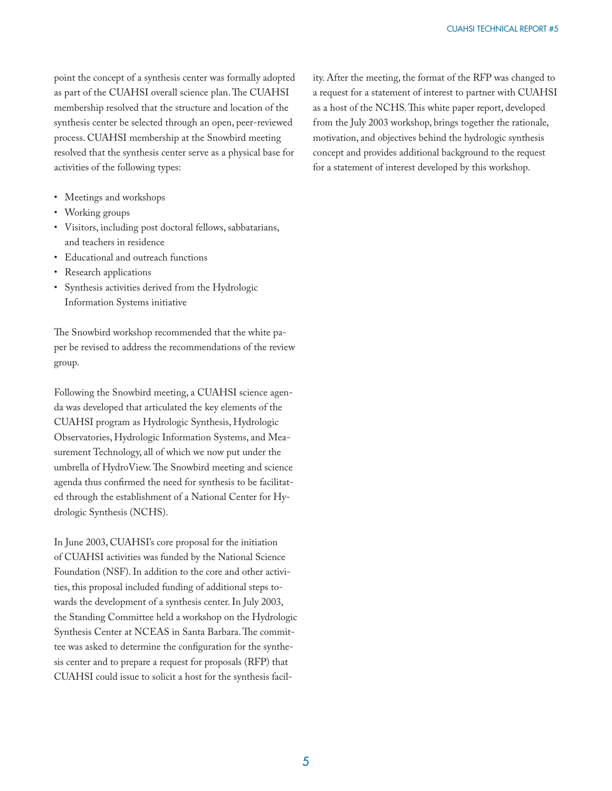point the concept of a synthesis center was formally adopted as part of the CUAHSI overall science plan. The CUAHSI membership resolved that the structure and location of the synthesis center be selected through an open, peer-reviewed process. CUAHSI membership at the Snowbird meeting resolved that the synthesis center serve as a physical base for activities of the following types:

- Meetings and workshops
- Working groups
- Visitors, including post doctoral fellows, sabbatarians, and teachers in residence
- Educational and outreach functions
- Research applications
- Synthesis activities derived from the Hydrologic Information Systems initiative

The Snowbird workshop recommended that the white paper be revised to address the recommendations of the review group.

Following the Snowbird meeting, a CUAHSI science agenda was developed that articulated the key elements of the CUAHSI program as Hydrologic Synthesis, Hydrologic Observatories, Hydrologic Information Systems, and Measurement Technology, all of which we now put under the umbrella of HydroView. The Snowbird meeting and science agenda thus confirmed the need for synthesis to be facilitated through the establishment of a National Center for Hydrologic Synthesis (NCHS).

In June 2003, CUAHSI's core proposal for the initiation of CUAHSI activities was funded by the National Science Foundation (NSF). In addition to the core and other activities, this proposal included funding of additional steps towards the development of a synthesis center. In July 2003, the Standing Committee held a workshop on the Hydrologic Synthesis Center at NCEAS in Santa Barbara. The committee was asked to determine the configuration for the synthesis center and to prepare a request for proposals (RFP) that CUAHSI could issue to solicit a host for the synthesis facility. After the meeting, the format of the RFP was changed to a request for a statement of interest to partner with CUAHSI as a host of the NCHS. This white paper report, developed from the July 2003 workshop, brings together the rationale, motivation, and objectives behind the hydrologic synthesis concept and provides additional background to the request for a statement of interest developed by this workshop.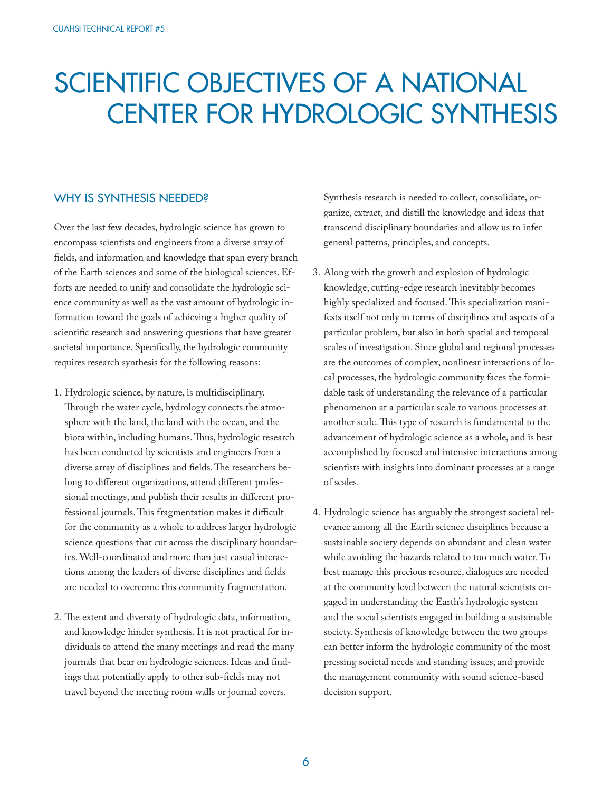### SCIENTIFIC OBJECTIVES OF A NATIONAL CENTER FOR HYDROLOGIC SYNTHESIS

#### WHY IS SYNTHESIS NEEDED?

Over the last few decades, hydrologic science has grown to encompass scientists and engineers from a diverse array of fields, and information and knowledge that span every branch of the Earth sciences and some of the biological sciences. Efforts are needed to unify and consolidate the hydrologic science community as well as the vast amount of hydrologic information toward the goals of achieving a higher quality of scientific research and answering questions that have greater societal importance. Specifically, the hydrologic community requires research synthesis for the following reasons:

- 1. Hydrologic science, by nature, is multidisciplinary. Through the water cycle, hydrology connects the atmosphere with the land, the land with the ocean, and the biota within, including humans. Thus, hydrologic research has been conducted by scientists and engineers from a diverse array of disciplines and fields. The researchers belong to different organizations, attend different professional meetings, and publish their results in different professional journals. This fragmentation makes it difficult for the community as a whole to address larger hydrologic science questions that cut across the disciplinary boundaries. Well-coordinated and more than just casual interactions among the leaders of diverse disciplines and fields are needed to overcome this community fragmentation.
- 2. The extent and diversity of hydrologic data, information, and knowledge hinder synthesis. It is not practical for individuals to attend the many meetings and read the many journals that bear on hydrologic sciences. Ideas and findings that potentially apply to other sub-fields may not travel beyond the meeting room walls or journal covers.

Synthesis research is needed to collect, consolidate, organize, extract, and distill the knowledge and ideas that transcend disciplinary boundaries and allow us to infer general patterns, principles, and concepts.

- 3. Along with the growth and explosion of hydrologic knowledge, cutting-edge research inevitably becomes highly specialized and focused. This specialization manifests itself not only in terms of disciplines and aspects of a particular problem, but also in both spatial and temporal scales of investigation. Since global and regional processes are the outcomes of complex, nonlinear interactions of local processes, the hydrologic community faces the formidable task of understanding the relevance of a particular phenomenon at a particular scale to various processes at another scale. This type of research is fundamental to the advancement of hydrologic science as a whole, and is best accomplished by focused and intensive interactions among scientists with insights into dominant processes at a range of scales.
- 4. Hydrologic science has arguably the strongest societal relevance among all the Earth science disciplines because a sustainable society depends on abundant and clean water while avoiding the hazards related to too much water. To best manage this precious resource, dialogues are needed at the community level between the natural scientists engaged in understanding the Earth's hydrologic system and the social scientists engaged in building a sustainable society. Synthesis of knowledge between the two groups can better inform the hydrologic community of the most pressing societal needs and standing issues, and provide the management community with sound science-based decision support.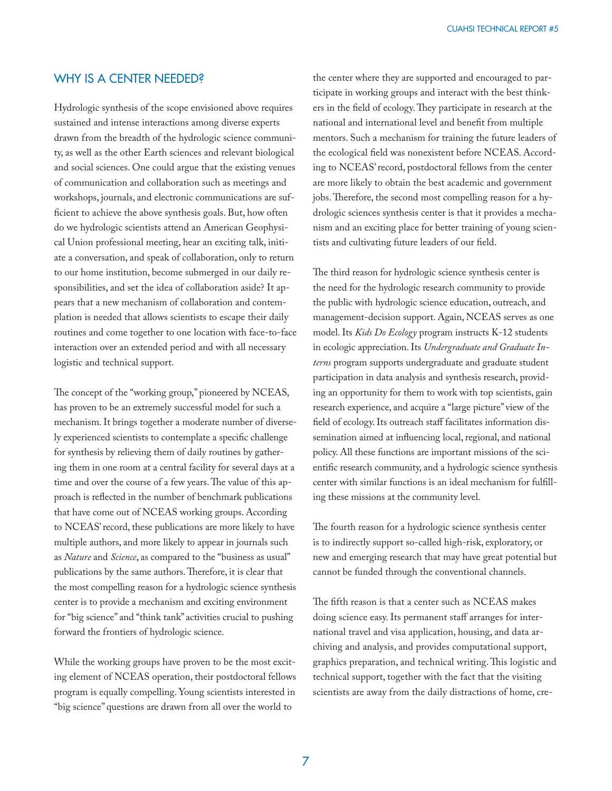#### WHY IS A CENTER NEEDED?

Hydrologic synthesis of the scope envisioned above requires sustained and intense interactions among diverse experts drawn from the breadth of the hydrologic science community, as well as the other Earth sciences and relevant biological and social sciences. One could argue that the existing venues of communication and collaboration such as meetings and workshops, journals, and electronic communications are sufficient to achieve the above synthesis goals. But, how often do we hydrologic scientists attend an American Geophysical Union professional meeting, hear an exciting talk, initiate a conversation, and speak of collaboration, only to return to our home institution, become submerged in our daily responsibilities, and set the idea of collaboration aside? It appears that a new mechanism of collaboration and contemplation is needed that allows scientists to escape their daily routines and come together to one location with face-to-face interaction over an extended period and with all necessary logistic and technical support.

The concept of the "working group," pioneered by NCEAS, has proven to be an extremely successful model for such a mechanism. It brings together a moderate number of diversely experienced scientists to contemplate a specific challenge for synthesis by relieving them of daily routines by gathering them in one room at a central facility for several days at a time and over the course of a few years. The value of this approach is reflected in the number of benchmark publications that have come out of NCEAS working groups. According to NCEAS' record, these publications are more likely to have multiple authors, and more likely to appear in journals such as *Nature* and *Science*, as compared to the "business as usual" publications by the same authors. Therefore, it is clear that the most compelling reason for a hydrologic science synthesis center is to provide a mechanism and exciting environment for "big science" and "think tank" activities crucial to pushing forward the frontiers of hydrologic science.

While the working groups have proven to be the most exciting element of NCEAS operation, their postdoctoral fellows program is equally compelling. Young scientists interested in "big science" questions are drawn from all over the world to

the center where they are supported and encouraged to participate in working groups and interact with the best thinkers in the field of ecology. They participate in research at the national and international level and benefit from multiple mentors. Such a mechanism for training the future leaders of the ecological field was nonexistent before NCEAS. According to NCEAS' record, postdoctoral fellows from the center are more likely to obtain the best academic and government jobs. Therefore, the second most compelling reason for a hydrologic sciences synthesis center is that it provides a mechanism and an exciting place for better training of young scientists and cultivating future leaders of our field.

The third reason for hydrologic science synthesis center is the need for the hydrologic research community to provide the public with hydrologic science education, outreach, and management-decision support. Again, NCEAS serves as one model. Its *Kids Do Ecology* program instructs K-12 students in ecologic appreciation. Its *Undergraduate and Graduate Interns* program supports undergraduate and graduate student participation in data analysis and synthesis research, providing an opportunity for them to work with top scientists, gain research experience, and acquire a "large picture" view of the field of ecology. Its outreach staff facilitates information dissemination aimed at influencing local, regional, and national policy. All these functions are important missions of the scientific research community, and a hydrologic science synthesis center with similar functions is an ideal mechanism for fulfilling these missions at the community level.

The fourth reason for a hydrologic science synthesis center is to indirectly support so-called high-risk, exploratory, or new and emerging research that may have great potential but cannot be funded through the conventional channels.

The fifth reason is that a center such as NCEAS makes doing science easy. Its permanent staff arranges for international travel and visa application, housing, and data archiving and analysis, and provides computational support, graphics preparation, and technical writing. This logistic and technical support, together with the fact that the visiting scientists are away from the daily distractions of home, cre-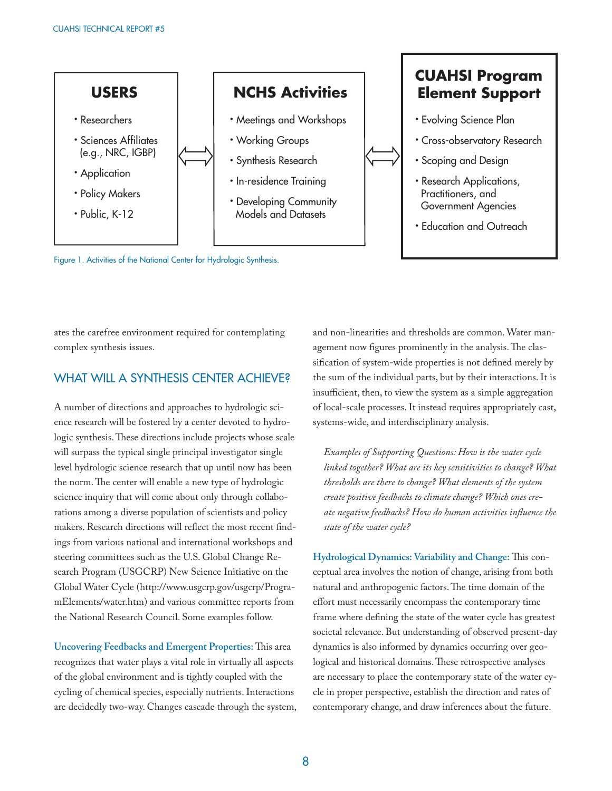

Figure 1. Activities of the National Center for Hydrologic Synthesis.

ates the carefree environment required for contemplating complex synthesis issues.

#### WHAT WILL A SYNTHESIS CENTER ACHIEVE?

A number of directions and approaches to hydrologic science research will be fostered by a center devoted to hydrologic synthesis. These directions include projects whose scale will surpass the typical single principal investigator single level hydrologic science research that up until now has been the norm. The center will enable a new type of hydrologic science inquiry that will come about only through collaborations among a diverse population of scientists and policy makers. Research directions will reflect the most recent findings from various national and international workshops and steering committees such as the U.S. Global Change Research Program (USGCRP) New Science Initiative on the Global Water Cycle (http://www.usgcrp.gov/usgcrp/ProgramElements/water.htm) and various committee reports from the National Research Council. Some examples follow.

**Uncovering Feedbacks and Emergent Properties: This area** recognizes that water plays a vital role in virtually all aspects of the global environment and is tightly coupled with the cycling of chemical species, especially nutrients. Interactions are decidedly two-way. Changes cascade through the system, and non-linearities and thresholds are common. Water management now figures prominently in the analysis. The classification of system-wide properties is not defined merely by the sum of the individual parts, but by their interactions. It is insufficient, then, to view the system as a simple aggregation of local-scale processes. It instead requires appropriately cast, systems-wide, and interdisciplinary analysis.

*Examples of Supporting Questions: How is the water cycle linked together? What are its key sensitivities to change? What thresholds are there to change? What elements of the system create positive feedbacks to climate change? Which ones create negative feedbacks? How do human activities infl uence the state of the water cycle?*

Hydrological Dynamics: Variability and Change: This conceptual area involves the notion of change, arising from both natural and anthropogenic factors. The time domain of the effort must necessarily encompass the contemporary time frame where defining the state of the water cycle has greatest societal relevance. But understanding of observed present-day dynamics is also informed by dynamics occurring over geological and historical domains. These retrospective analyses are necessary to place the contemporary state of the water cycle in proper perspective, establish the direction and rates of contemporary change, and draw inferences about the future.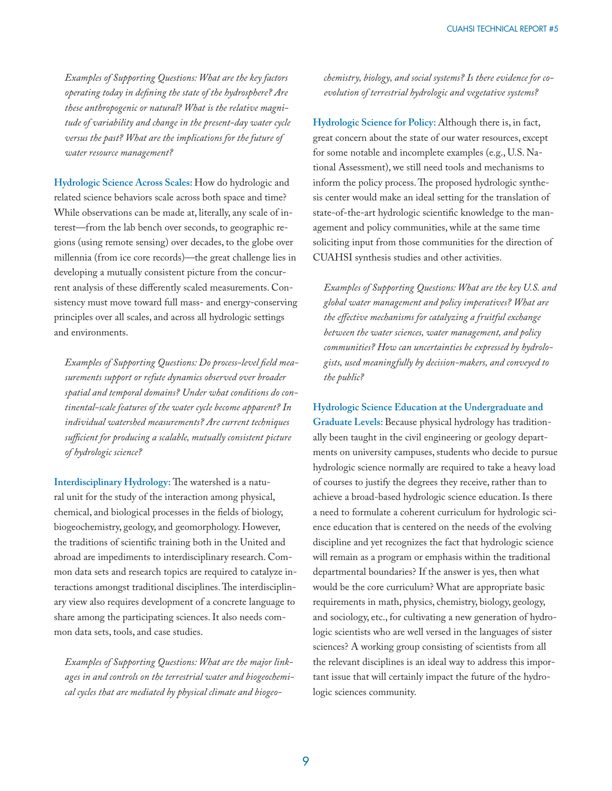*Examples of Supporting Questions: What are the key factors operating today in defi ning the state of the hydrosphere? Are these anthropogenic or natural? What is the relative magnitude of variability and change in the present-day water cycle versus the past? What are the implications for the future of water resource management?*

**Hydrologic Science Across Scales:** How do hydrologic and related science behaviors scale across both space and time? While observations can be made at, literally, any scale of interest—from the lab bench over seconds, to geographic regions (using remote sensing) over decades, to the globe over millennia (from ice core records)—the great challenge lies in developing a mutually consistent picture from the concurrent analysis of these differently scaled measurements. Consistency must move toward full mass- and energy-conserving principles over all scales, and across all hydrologic settings and environments.

Examples of Supporting Questions: Do process-level field mea*surements support or refute dynamics observed over broader spatial and temporal domains? Under what conditions do continental-scale features of the water cycle become apparent? In individual watershed measurements? Are current techniques*  sufficient for producing a scalable, mutually consistent picture *of hydrologic science?* 

Interdisciplinary Hydrology: The watershed is a natural unit for the study of the interaction among physical, chemical, and biological processes in the fields of biology, biogeochemistry, geology, and geomorphology. However, the traditions of scientific training both in the United and abroad are impediments to interdisciplinary research. Common data sets and research topics are required to catalyze interactions amongst traditional disciplines. The interdisciplinary view also requires development of a concrete language to share among the participating sciences. It also needs common data sets, tools, and case studies.

*Examples of Supporting Questions: What are the major linkages in and controls on the terrestrial water and biogeochemical cycles that are mediated by physical climate and biogeo-* *chemistry, biology, and social systems? Is there evidence for coevolution of terrestrial hydrologic and vegetative systems?* 

**Hydrologic Science for Policy:** Although there is, in fact, great concern about the state of our water resources, except for some notable and incomplete examples (e.g., U.S. National Assessment), we still need tools and mechanisms to inform the policy process. The proposed hydrologic synthesis center would make an ideal setting for the translation of state-of-the-art hydrologic scientific knowledge to the management and policy communities, while at the same time soliciting input from those communities for the direction of CUAHSI synthesis studies and other activities.

*Examples of Supporting Questions: What are the key U.S. and global water management and policy imperatives? What are the eff ective mechanisms for catalyzing a fruitful exchange between the water sciences, water management, and policy communities? How can uncertainties be expressed by hydrologists, used meaningfully by decision-makers, and conveyed to the public?*

**Hydrologic Science Education at the Undergraduate and Graduate Levels:** Because physical hydrology has traditionally been taught in the civil engineering or geology departments on university campuses, students who decide to pursue hydrologic science normally are required to take a heavy load of courses to justify the degrees they receive, rather than to achieve a broad-based hydrologic science education. Is there a need to formulate a coherent curriculum for hydrologic science education that is centered on the needs of the evolving discipline and yet recognizes the fact that hydrologic science will remain as a program or emphasis within the traditional departmental boundaries? If the answer is yes, then what would be the core curriculum? What are appropriate basic requirements in math, physics, chemistry, biology, geology, and sociology, etc., for cultivating a new generation of hydrologic scientists who are well versed in the languages of sister sciences? A working group consisting of scientists from all the relevant disciplines is an ideal way to address this important issue that will certainly impact the future of the hydrologic sciences community.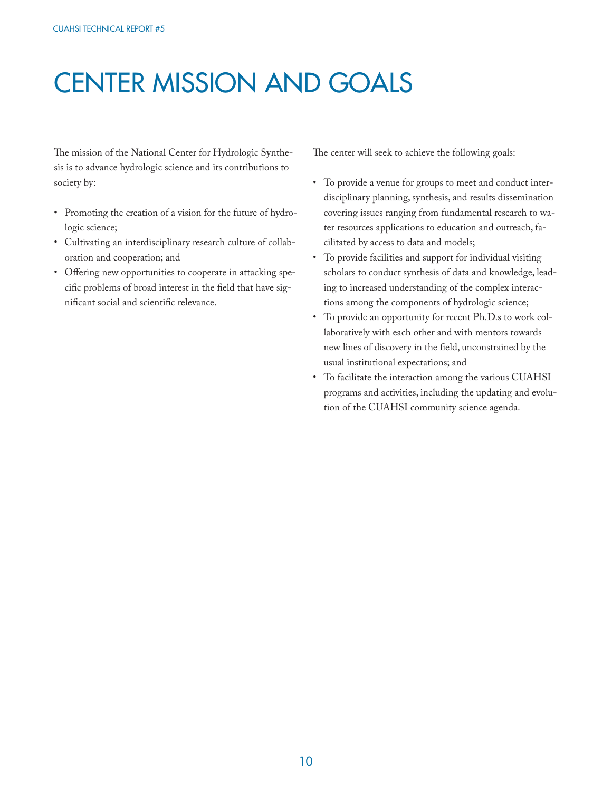## CENTER MISSION AND GOALS

The mission of the National Center for Hydrologic Synthesis is to advance hydrologic science and its contributions to society by:

- Promoting the creation of a vision for the future of hydrologic science;
- Cultivating an interdisciplinary research culture of collaboration and cooperation; and
- Offering new opportunities to cooperate in attacking specific problems of broad interest in the field that have significant social and scientific relevance.

The center will seek to achieve the following goals:

- To provide a venue for groups to meet and conduct interdisciplinary planning, synthesis, and results dissemination covering issues ranging from fundamental research to water resources applications to education and outreach, facilitated by access to data and models;
- To provide facilities and support for individual visiting scholars to conduct synthesis of data and knowledge, leading to increased understanding of the complex interactions among the components of hydrologic science;
- To provide an opportunity for recent Ph.D.s to work collaboratively with each other and with mentors towards new lines of discovery in the field, unconstrained by the usual institutional expectations; and
- To facilitate the interaction among the various CUAHSI programs and activities, including the updating and evolution of the CUAHSI community science agenda.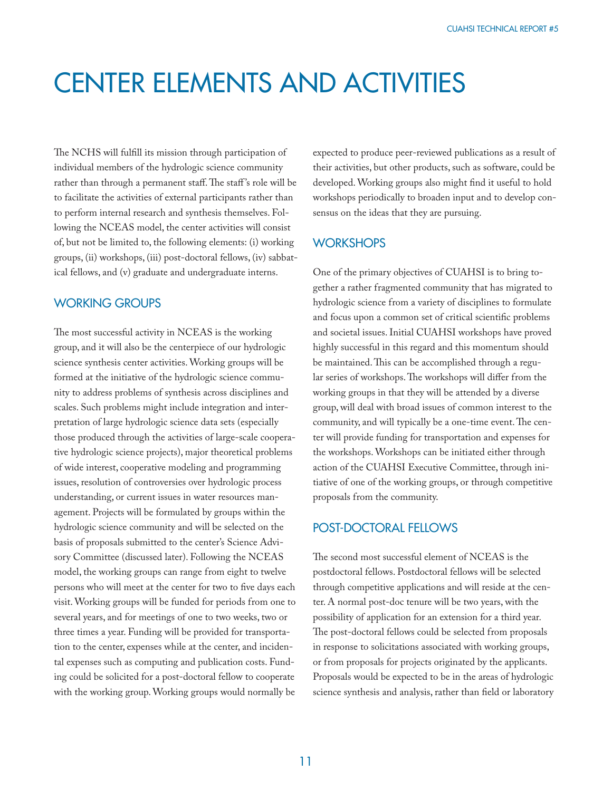### CENTER ELEMENTS AND ACTIVITIES

The NCHS will fulfill its mission through participation of individual members of the hydrologic science community rather than through a permanent staff. The staff's role will be to facilitate the activities of external participants rather than to perform internal research and synthesis themselves. Following the NCEAS model, the center activities will consist of, but not be limited to, the following elements: (i) working groups, (ii) workshops, (iii) post-doctoral fellows, (iv) sabbatical fellows, and (v) graduate and undergraduate interns.

#### WORKING GROUPS

The most successful activity in NCEAS is the working group, and it will also be the centerpiece of our hydrologic science synthesis center activities. Working groups will be formed at the initiative of the hydrologic science community to address problems of synthesis across disciplines and scales. Such problems might include integration and interpretation of large hydrologic science data sets (especially those produced through the activities of large-scale cooperative hydrologic science projects), major theoretical problems of wide interest, cooperative modeling and programming issues, resolution of controversies over hydrologic process understanding, or current issues in water resources management. Projects will be formulated by groups within the hydrologic science community and will be selected on the basis of proposals submitted to the center's Science Advisory Committee (discussed later). Following the NCEAS model, the working groups can range from eight to twelve persons who will meet at the center for two to five days each visit. Working groups will be funded for periods from one to several years, and for meetings of one to two weeks, two or three times a year. Funding will be provided for transportation to the center, expenses while at the center, and incidental expenses such as computing and publication costs. Funding could be solicited for a post-doctoral fellow to cooperate with the working group. Working groups would normally be expected to produce peer-reviewed publications as a result of their activities, but other products, such as software, could be developed. Working groups also might find it useful to hold workshops periodically to broaden input and to develop consensus on the ideas that they are pursuing.

#### **WORKSHOPS**

One of the primary objectives of CUAHSI is to bring together a rather fragmented community that has migrated to hydrologic science from a variety of disciplines to formulate and focus upon a common set of critical scientific problems and societal issues. Initial CUAHSI workshops have proved highly successful in this regard and this momentum should be maintained. This can be accomplished through a regular series of workshops. The workshops will differ from the working groups in that they will be attended by a diverse group, will deal with broad issues of common interest to the community, and will typically be a one-time event. The center will provide funding for transportation and expenses for the workshops. Workshops can be initiated either through action of the CUAHSI Executive Committee, through initiative of one of the working groups, or through competitive proposals from the community.

#### POST-DOCTORAL FELLOWS

The second most successful element of NCEAS is the postdoctoral fellows. Postdoctoral fellows will be selected through competitive applications and will reside at the center. A normal post-doc tenure will be two years, with the possibility of application for an extension for a third year. The post-doctoral fellows could be selected from proposals in response to solicitations associated with working groups, or from proposals for projects originated by the applicants. Proposals would be expected to be in the areas of hydrologic science synthesis and analysis, rather than field or laboratory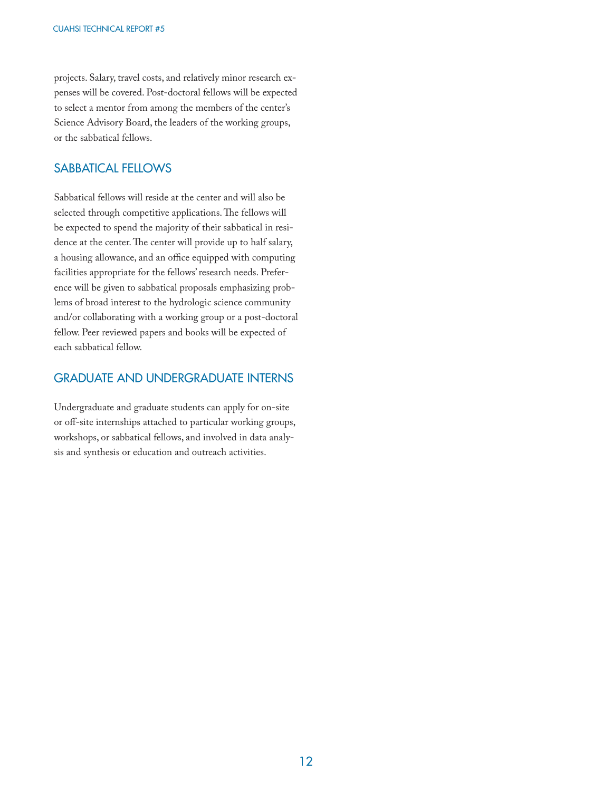projects. Salary, travel costs, and relatively minor research expenses will be covered. Post-doctoral fellows will be expected to select a mentor from among the members of the center's Science Advisory Board, the leaders of the working groups, or the sabbatical fellows.

#### SABBATICAL FELLOWS

Sabbatical fellows will reside at the center and will also be selected through competitive applications. The fellows will be expected to spend the majority of their sabbatical in residence at the center. The center will provide up to half salary, a housing allowance, and an office equipped with computing facilities appropriate for the fellows' research needs. Preference will be given to sabbatical proposals emphasizing problems of broad interest to the hydrologic science community and/or collaborating with a working group or a post-doctoral fellow. Peer reviewed papers and books will be expected of each sabbatical fellow.

#### GRADUATE AND UNDERGRADUATE INTERNS

Undergraduate and graduate students can apply for on-site or off-site internships attached to particular working groups, workshops, or sabbatical fellows, and involved in data analysis and synthesis or education and outreach activities.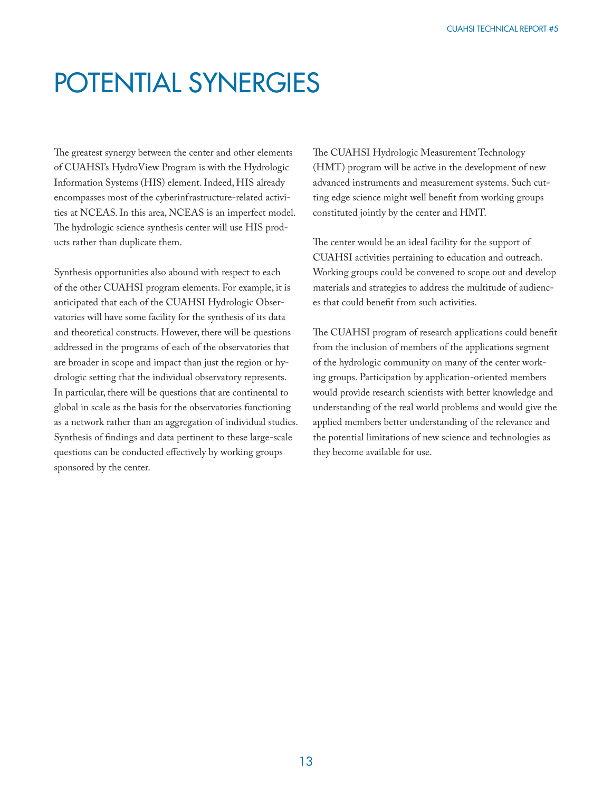### POTENTIAL SYNERGIES

The greatest synergy between the center and other elements of CUAHSI's HydroView Program is with the Hydrologic Information Systems (HIS) element. Indeed, HIS already encompasses most of the cyberinfrastructure-related activities at NCEAS. In this area, NCEAS is an imperfect model. The hydrologic science synthesis center will use HIS products rather than duplicate them.

Synthesis opportunities also abound with respect to each of the other CUAHSI program elements. For example, it is anticipated that each of the CUAHSI Hydrologic Observatories will have some facility for the synthesis of its data and theoretical constructs. However, there will be questions addressed in the programs of each of the observatories that are broader in scope and impact than just the region or hydrologic setting that the individual observatory represents. In particular, there will be questions that are continental to global in scale as the basis for the observatories functioning as a network rather than an aggregation of individual studies. Synthesis of findings and data pertinent to these large-scale questions can be conducted effectively by working groups sponsored by the center.

The CUAHSI Hydrologic Measurement Technology (HMT) program will be active in the development of new advanced instruments and measurement systems. Such cutting edge science might well benefit from working groups constituted jointly by the center and HMT.

The center would be an ideal facility for the support of CUAHSI activities pertaining to education and outreach. Working groups could be convened to scope out and develop materials and strategies to address the multitude of audiences that could benefit from such activities.

The CUAHSI program of research applications could benefit from the inclusion of members of the applications segment of the hydrologic community on many of the center working groups. Participation by application-oriented members would provide research scientists with better knowledge and understanding of the real world problems and would give the applied members better understanding of the relevance and the potential limitations of new science and technologies as they become available for use.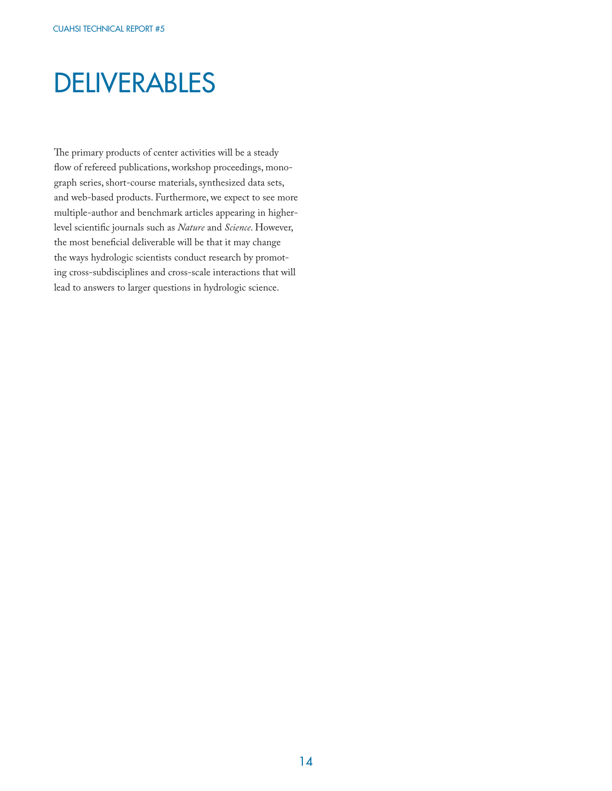### DELIVERABLES

The primary products of center activities will be a steady flow of refereed publications, workshop proceedings, monograph series, short-course materials, synthesized data sets, and web-based products. Furthermore, we expect to see more multiple-author and benchmark articles appearing in higherlevel scientific journals such as *Nature* and *Science*. However, the most beneficial deliverable will be that it may change the ways hydrologic scientists conduct research by promoting cross-subdisciplines and cross-scale interactions that will lead to answers to larger questions in hydrologic science.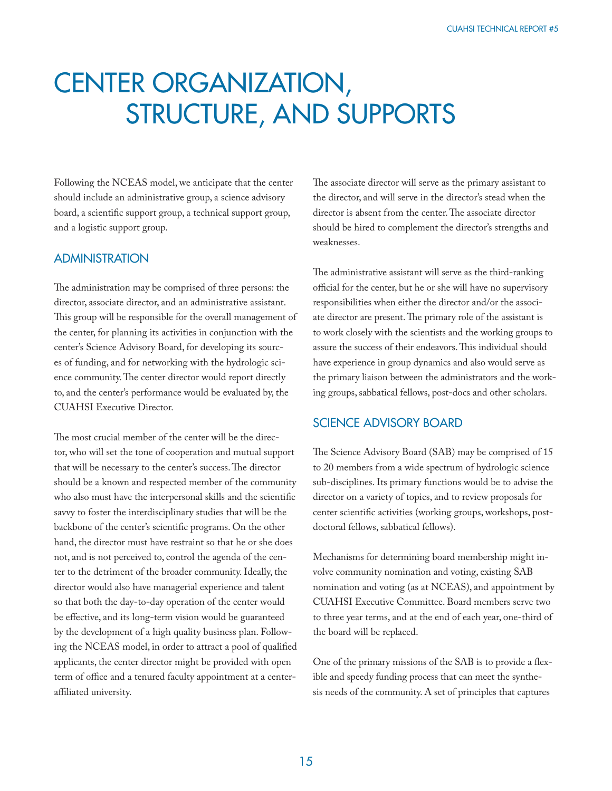### CENTER ORGANIZATION, STRUCTURE, AND SUPPORTS

Following the NCEAS model, we anticipate that the center should include an administrative group, a science advisory board, a scientific support group, a technical support group, and a logistic support group.

#### ADMINISTRATION

The administration may be comprised of three persons: the director, associate director, and an administrative assistant. This group will be responsible for the overall management of the center, for planning its activities in conjunction with the center's Science Advisory Board, for developing its sources of funding, and for networking with the hydrologic science community. The center director would report directly to, and the center's performance would be evaluated by, the CUAHSI Executive Director.

The most crucial member of the center will be the director, who will set the tone of cooperation and mutual support that will be necessary to the center's success. The director should be a known and respected member of the community who also must have the interpersonal skills and the scientific savvy to foster the interdisciplinary studies that will be the backbone of the center's scientific programs. On the other hand, the director must have restraint so that he or she does not, and is not perceived to, control the agenda of the center to the detriment of the broader community. Ideally, the director would also have managerial experience and talent so that both the day-to-day operation of the center would be effective, and its long-term vision would be guaranteed by the development of a high quality business plan. Following the NCEAS model, in order to attract a pool of qualified applicants, the center director might be provided with open term of office and a tenured faculty appointment at a centeraffiliated university.

The associate director will serve as the primary assistant to the director, and will serve in the director's stead when the director is absent from the center. The associate director should be hired to complement the director's strengths and weaknesses.

The administrative assistant will serve as the third-ranking official for the center, but he or she will have no supervisory responsibilities when either the director and/or the associate director are present. The primary role of the assistant is to work closely with the scientists and the working groups to assure the success of their endeavors. This individual should have experience in group dynamics and also would serve as the primary liaison between the administrators and the working groups, sabbatical fellows, post-docs and other scholars.

#### SCIENCE ADVISORY BOARD

The Science Advisory Board (SAB) may be comprised of 15 to 20 members from a wide spectrum of hydrologic science sub-disciplines. Its primary functions would be to advise the director on a variety of topics, and to review proposals for center scientific activities (working groups, workshops, postdoctoral fellows, sabbatical fellows).

Mechanisms for determining board membership might involve community nomination and voting, existing SAB nomination and voting (as at NCEAS), and appointment by CUAHSI Executive Committee. Board members serve two to three year terms, and at the end of each year, one-third of the board will be replaced.

One of the primary missions of the SAB is to provide a flexible and speedy funding process that can meet the synthesis needs of the community. A set of principles that captures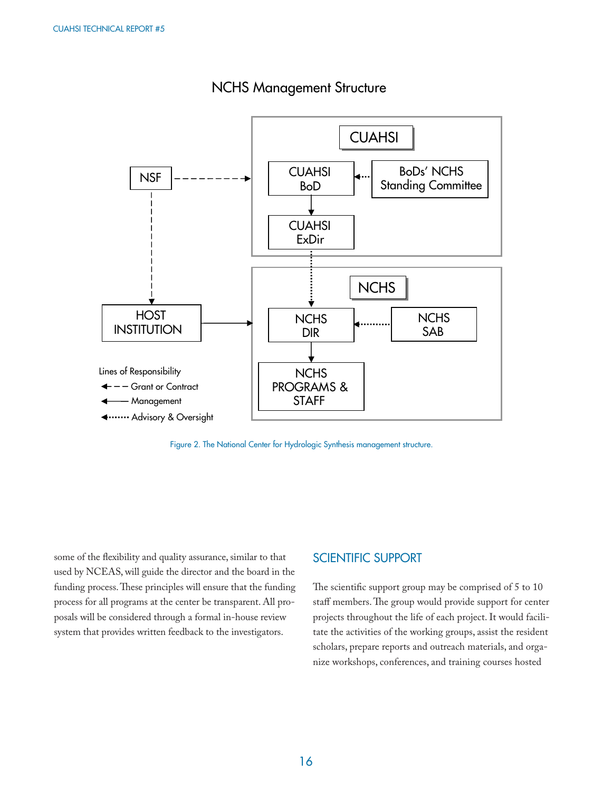

#### NCHS Management Structure

Figure 2. The National Center for Hydrologic Synthesis management structure.

some of the flexibility and quality assurance, similar to that used by NCEAS, will guide the director and the board in the funding process. These principles will ensure that the funding process for all programs at the center be transparent. All proposals will be considered through a formal in-house review system that provides written feedback to the investigators.

#### SCIENTIFIC SUPPORT

The scientific support group may be comprised of 5 to 10 staff members. The group would provide support for center projects throughout the life of each project. It would facilitate the activities of the working groups, assist the resident scholars, prepare reports and outreach materials, and organize workshops, conferences, and training courses hosted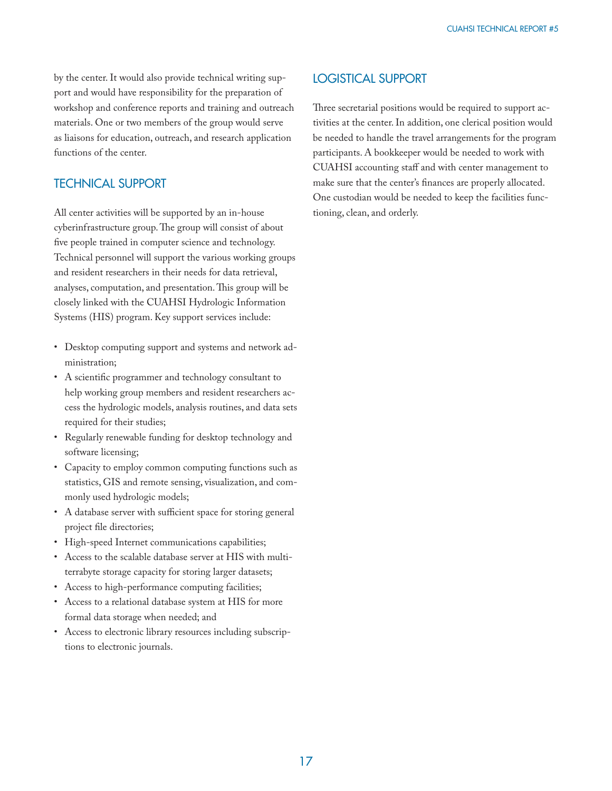by the center. It would also provide technical writing support and would have responsibility for the preparation of workshop and conference reports and training and outreach materials. One or two members of the group would serve as liaisons for education, outreach, and research application functions of the center.

#### TECHNICAL SUPPORT

All center activities will be supported by an in-house cyberinfrastructure group. The group will consist of about five people trained in computer science and technology. Technical personnel will support the various working groups and resident researchers in their needs for data retrieval, analyses, computation, and presentation. This group will be closely linked with the CUAHSI Hydrologic Information Systems (HIS) program. Key support services include:

- Desktop computing support and systems and network administration;
- A scientific programmer and technology consultant to help working group members and resident researchers access the hydrologic models, analysis routines, and data sets required for their studies;
- Regularly renewable funding for desktop technology and software licensing;
- Capacity to employ common computing functions such as statistics, GIS and remote sensing, visualization, and commonly used hydrologic models;
- A database server with sufficient space for storing general project file directories;
- High-speed Internet communications capabilities;
- Access to the scalable database server at HIS with multiterrabyte storage capacity for storing larger datasets;
- Access to high-performance computing facilities;
- Access to a relational database system at HIS for more formal data storage when needed; and
- Access to electronic library resources including subscriptions to electronic journals.

#### LOGISTICAL SUPPORT

Three secretarial positions would be required to support activities at the center. In addition, one clerical position would be needed to handle the travel arrangements for the program participants. A bookkeeper would be needed to work with CUAHSI accounting staff and with center management to make sure that the center's finances are properly allocated. One custodian would be needed to keep the facilities functioning, clean, and orderly.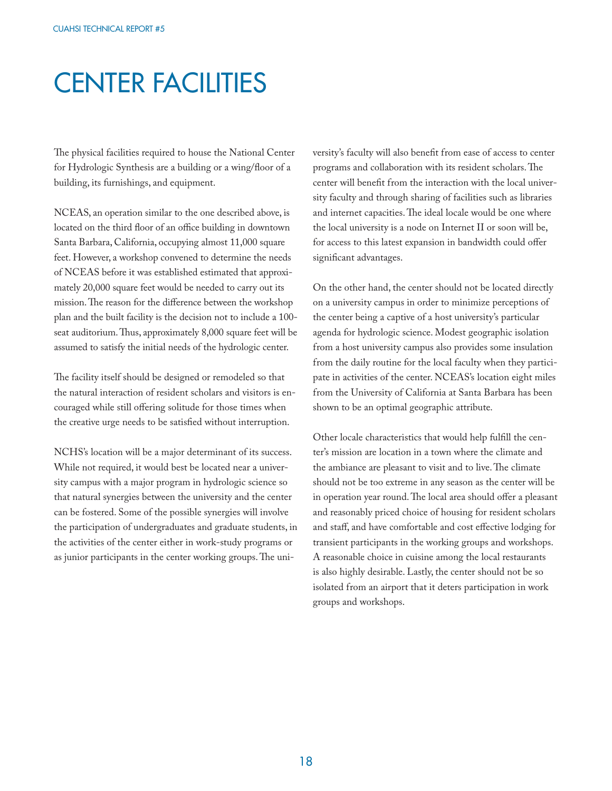### CENTER FACILITIES

The physical facilities required to house the National Center for Hydrologic Synthesis are a building or a wing/floor of a building, its furnishings, and equipment.

NCEAS, an operation similar to the one described above, is located on the third floor of an office building in downtown Santa Barbara, California, occupying almost 11,000 square feet. However, a workshop convened to determine the needs of NCEAS before it was established estimated that approximately 20,000 square feet would be needed to carry out its mission. The reason for the difference between the workshop plan and the built facility is the decision not to include a 100 seat auditorium. Thus, approximately 8,000 square feet will be assumed to satisfy the initial needs of the hydrologic center.

The facility itself should be designed or remodeled so that the natural interaction of resident scholars and visitors is encouraged while still offering solitude for those times when the creative urge needs to be satisfied without interruption.

NCHS's location will be a major determinant of its success. While not required, it would best be located near a university campus with a major program in hydrologic science so that natural synergies between the university and the center can be fostered. Some of the possible synergies will involve the participation of undergraduates and graduate students, in the activities of the center either in work-study programs or as junior participants in the center working groups. The university's faculty will also benefit from ease of access to center programs and collaboration with its resident scholars. The center will benefit from the interaction with the local university faculty and through sharing of facilities such as libraries and internet capacities. The ideal locale would be one where the local university is a node on Internet II or soon will be, for access to this latest expansion in bandwidth could offer significant advantages.

On the other hand, the center should not be located directly on a university campus in order to minimize perceptions of the center being a captive of a host university's particular agenda for hydrologic science. Modest geographic isolation from a host university campus also provides some insulation from the daily routine for the local faculty when they participate in activities of the center. NCEAS's location eight miles from the University of California at Santa Barbara has been shown to be an optimal geographic attribute.

Other locale characteristics that would help fulfill the center's mission are location in a town where the climate and the ambiance are pleasant to visit and to live. The climate should not be too extreme in any season as the center will be in operation year round. The local area should offer a pleasant and reasonably priced choice of housing for resident scholars and staff, and have comfortable and cost effective lodging for transient participants in the working groups and workshops. A reasonable choice in cuisine among the local restaurants is also highly desirable. Lastly, the center should not be so isolated from an airport that it deters participation in work groups and workshops.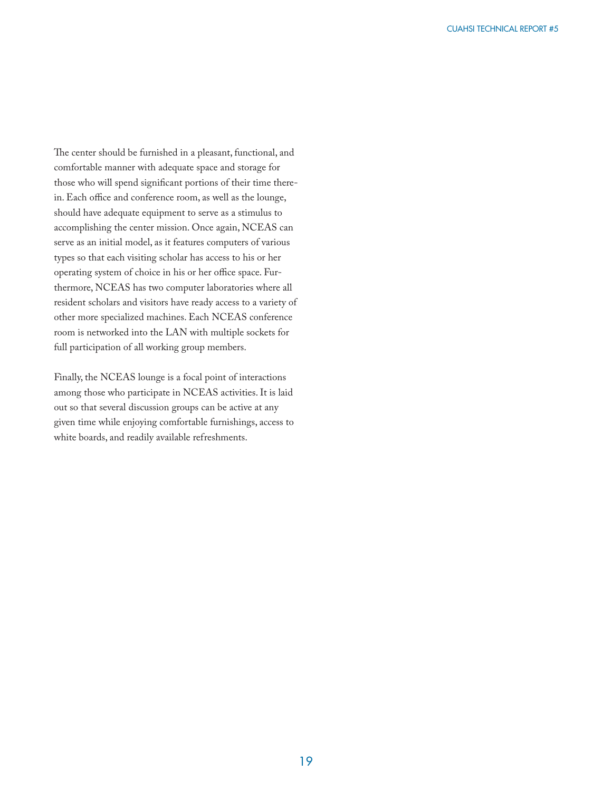The center should be furnished in a pleasant, functional, and comfortable manner with adequate space and storage for those who will spend significant portions of their time therein. Each office and conference room, as well as the lounge, should have adequate equipment to serve as a stimulus to accomplishing the center mission. Once again, NCEAS can serve as an initial model, as it features computers of various types so that each visiting scholar has access to his or her operating system of choice in his or her office space. Furthermore, NCEAS has two computer laboratories where all resident scholars and visitors have ready access to a variety of other more specialized machines. Each NCEAS conference room is networked into the LAN with multiple sockets for full participation of all working group members.

Finally, the NCEAS lounge is a focal point of interactions among those who participate in NCEAS activities. It is laid out so that several discussion groups can be active at any given time while enjoying comfortable furnishings, access to white boards, and readily available refreshments.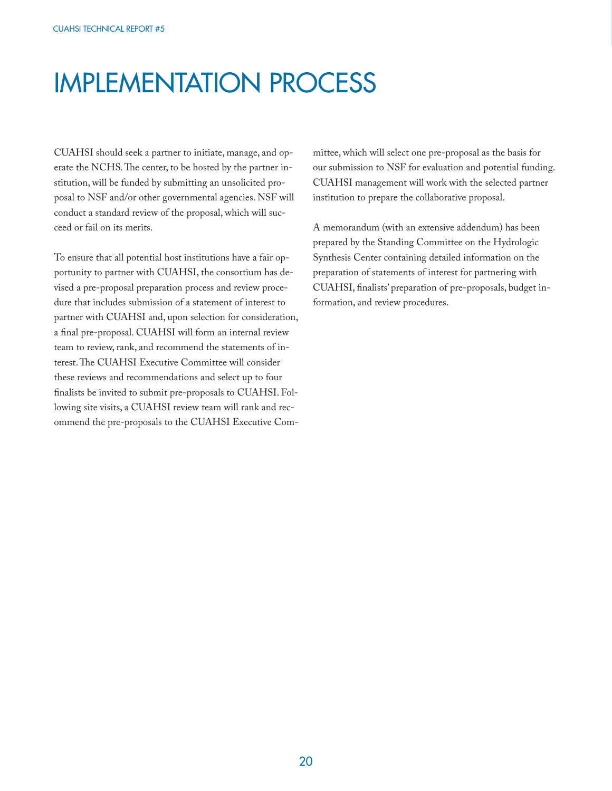## IMPLEMENTATION PROCESS

CUAHSI should seek a partner to initiate, manage, and operate the NCHS. The center, to be hosted by the partner institution, will be funded by submitting an unsolicited proposal to NSF and/or other governmental agencies. NSF will conduct a standard review of the proposal, which will succeed or fail on its merits.

To ensure that all potential host institutions have a fair opportunity to partner with CUAHSI, the consortium has devised a pre-proposal preparation process and review procedure that includes submission of a statement of interest to partner with CUAHSI and, upon selection for consideration, a final pre-proposal. CUAHSI will form an internal review team to review, rank, and recommend the statements of interest. The CUAHSI Executive Committee will consider these reviews and recommendations and select up to four finalists be invited to submit pre-proposals to CUAHSI. Following site visits, a CUAHSI review team will rank and recommend the pre-proposals to the CUAHSI Executive Committee, which will select one pre-proposal as the basis for our submission to NSF for evaluation and potential funding. CUAHSI management will work with the selected partner institution to prepare the collaborative proposal.

A memorandum (with an extensive addendum) has been prepared by the Standing Committee on the Hydrologic Synthesis Center containing detailed information on the preparation of statements of interest for partnering with CUAHSI, finalists' preparation of pre-proposals, budget information, and review procedures.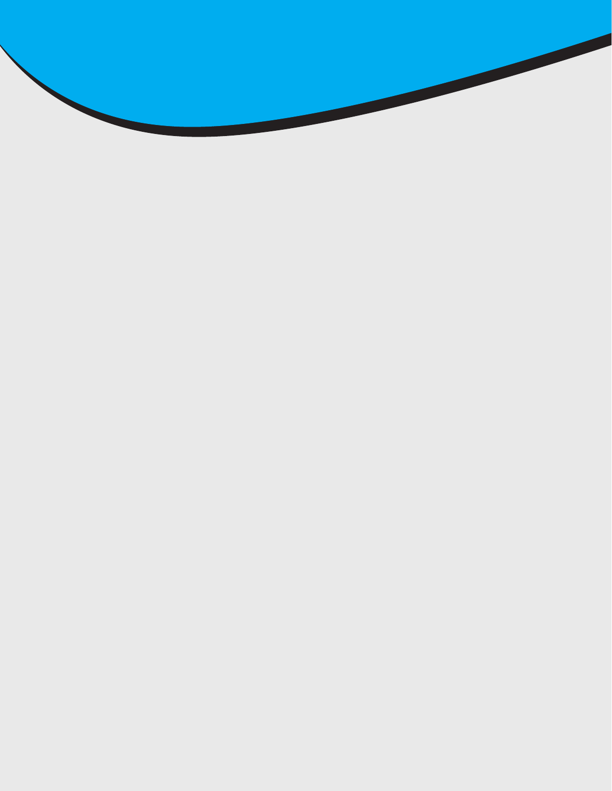